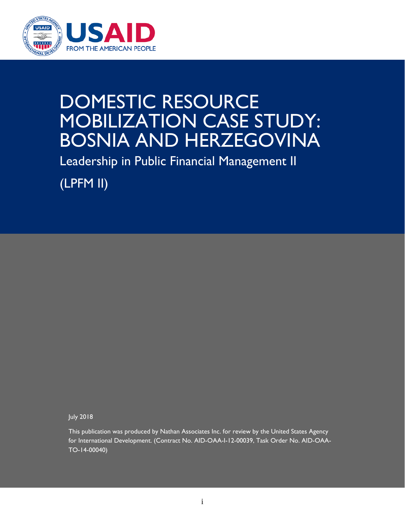

## DOMESTIC RESOURCE MOBILIZATION CASE STUDY: BOSNIA AND HERZEGOVINA

Leadership in Public Financial Management II

(LPFM II)

July 2018

This publication was produced by Nathan Associates Inc. for review by the United States Agency for International Development. (Contract No. AID-OAA-I-12-00039, Task Order No. AID-OAA-TO-14-00040)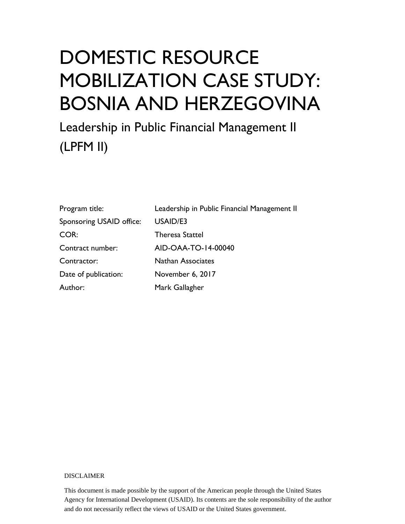# DOMESTIC RESOURCE MOBILIZATION CASE STUDY: BOSNIA AND HERZEGOVINA

Leadership in Public Financial Management II (LPFM II)

| Program title:           | Leadership in Public Financial Management II |
|--------------------------|----------------------------------------------|
| Sponsoring USAID office: | USAID/E3                                     |
| COR:                     | <b>Theresa Stattel</b>                       |
| Contract number:         | AID-OAA-TO-14-00040                          |
| Contractor:              | <b>Nathan Associates</b>                     |
| Date of publication:     | November 6, 2017                             |
| Author:                  | Mark Gallagher                               |

#### DISCLAIMER

This document is made possible by the support of the American people through the United States Agency for International Development (USAID). Its contents are the sole responsibility of the author and do not necessarily reflect the views of USAID or the United States government.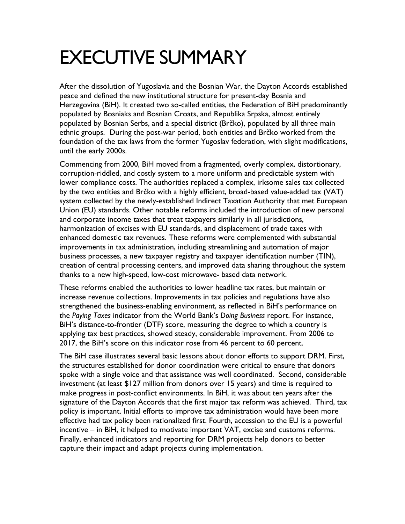## EXECUTIVE SUMMARY

After the dissolution of Yugoslavia and the Bosnian War, the Dayton Accords established peace and defined the new institutional structure for present-day Bosnia and Herzegovina (BiH). It created two so-called entities, the Federation of BiH predominantly populated by Bosniaks and Bosnian Croats, and Republika Srpska, almost entirely populated by Bosnian Serbs, and a special district (Brčko), populated by all three main ethnic groups. During the post-war period, both entities and Brčko worked from the foundation of the tax laws from the former Yugoslav federation, with slight modifications, until the early 2000s.

Commencing from 2000, BiH moved from a fragmented, overly complex, distortionary, corruption-riddled, and costly system to a more uniform and predictable system with lower compliance costs. The authorities replaced a complex, irksome sales tax collected by the two entities and Brčko with a highly efficient, broad-based value-added tax (VAT) system collected by the newly-established Indirect Taxation Authority that met European Union (EU) standards. Other notable reforms included the introduction of new personal and corporate income taxes that treat taxpayers similarly in all jurisdictions, harmonization of excises with EU standards, and displacement of trade taxes with enhanced domestic tax revenues. These reforms were complemented with substantial improvements in tax administration, including streamlining and automation of major business processes, a new taxpayer registry and taxpayer identification number (TIN), creation of central processing centers, and improved data sharing throughout the system thanks to a new high-speed, low-cost microwave- based data network.

These reforms enabled the authorities to lower headline tax rates, but maintain or increase revenue collections. Improvements in tax policies and regulations have also strengthened the business-enabling environment, as reflected in BiH's performance on the *Paying Taxes* indicator from the World Bank's *Doing Business* report. For instance, BiH's distance-to-frontier (DTF) score, measuring the degree to which a country is applying tax best practices, showed steady, considerable improvement. From 2006 to 2017, the BiH's score on this indicator rose from 46 percent to 60 percent.

The BiH case illustrates several basic lessons about donor efforts to support DRM. First, the structures established for donor coordination were critical to ensure that donors spoke with a single voice and that assistance was well coordinated. Second, considerable investment (at least \$127 million from donors over 15 years) and time is required to make progress in post-conflict environments. In BiH, it was about ten years after the signature of the Dayton Accords that the first major tax reform was achieved. Third, tax policy is important. Initial efforts to improve tax administration would have been more effective had tax policy been rationalized first. Fourth, accession to the EU is a powerful incentive – in BiH, it helped to motivate important VAT, excise and customs reforms. Finally, enhanced indicators and reporting for DRM projects help donors to better capture their impact and adapt projects during implementation.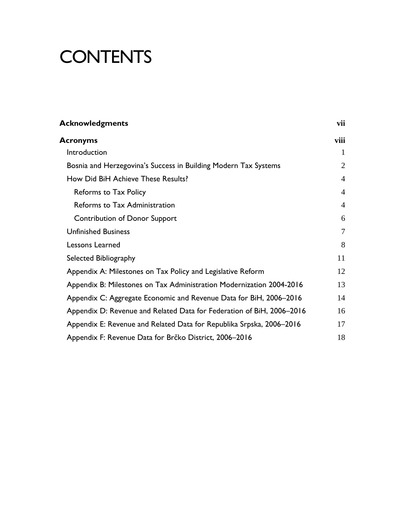## **CONTENTS**

| <b>Acknowledgments</b>                                                | vii            |
|-----------------------------------------------------------------------|----------------|
| Acronyms                                                              | viii           |
| Introduction                                                          | 1              |
| Bosnia and Herzegovina's Success in Building Modern Tax Systems       | 2              |
| How Did BiH Achieve These Results?                                    | $\overline{4}$ |
| Reforms to Tax Policy                                                 | $\overline{4}$ |
| Reforms to Tax Administration                                         | $\overline{4}$ |
| <b>Contribution of Donor Support</b>                                  | 6              |
| <b>Unfinished Business</b>                                            | 7              |
| Lessons Learned                                                       | 8              |
| Selected Bibliography                                                 | 11             |
| Appendix A: Milestones on Tax Policy and Legislative Reform           | 12             |
| Appendix B: Milestones on Tax Administration Modernization 2004-2016  | 13             |
| Appendix C: Aggregate Economic and Revenue Data for BiH, 2006-2016    | 14             |
| Appendix D: Revenue and Related Data for Federation of BiH, 2006–2016 | 16             |
| Appendix E: Revenue and Related Data for Republika Srpska, 2006–2016  | 17             |
| Appendix F: Revenue Data for Brčko District, 2006–2016                | 18             |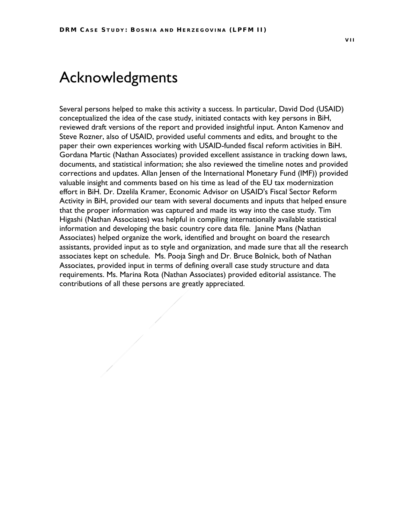### <span id="page-6-0"></span>Acknowledgments

Several persons helped to make this activity a success. In particular, David Dod (USAID) conceptualized the idea of the case study, initiated contacts with key persons in BiH, reviewed draft versions of the report and provided insightful input. Anton Kamenov and Steve Rozner, also of USAID, provided useful comments and edits, and brought to the paper their own experiences working with USAID-funded fiscal reform activities in BiH. Gordana Martic (Nathan Associates) provided excellent assistance in tracking down laws, documents, and statistical information; she also reviewed the timeline notes and provided corrections and updates. Allan Jensen of the International Monetary Fund (IMF)) provided valuable insight and comments based on his time as lead of the EU tax modernization effort in BiH. Dr. Dzelila Kramer, Economic Advisor on USAID's Fiscal Sector Reform Activity in BiH, provided our team with several documents and inputs that helped ensure that the proper information was captured and made its way into the case study. Tim Higashi (Nathan Associates) was helpful in compiling internationally available statistical information and developing the basic country core data file. Janine Mans (Nathan Associates) helped organize the work, identified and brought on board the research assistants, provided input as to style and organization, and made sure that all the research associates kept on schedule. Ms. Pooja Singh and Dr. Bruce Bolnick, both of Nathan Associates, provided input in terms of defining overall case study structure and data requirements. Ms. Marina Rota (Nathan Associates) provided editorial assistance. The contributions of all these persons are greatly appreciated.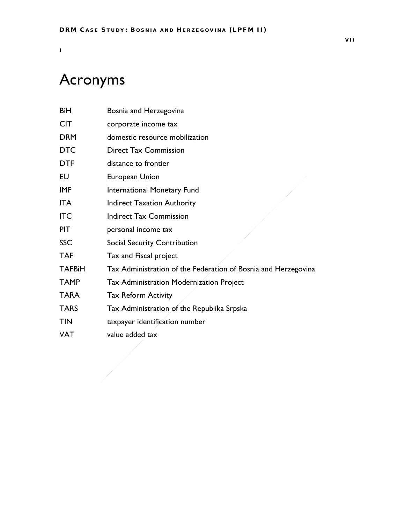### <span id="page-7-0"></span>Acronyms

I

| BiH           | Bosnia and Herzegovina                                         |
|---------------|----------------------------------------------------------------|
| <b>CIT</b>    | corporate income tax                                           |
| <b>DRM</b>    | domestic resource mobilization                                 |
| <b>DTC</b>    | <b>Direct Tax Commission</b>                                   |
| <b>DTF</b>    | distance to frontier                                           |
| EU            | European Union                                                 |
| <b>IMF</b>    | International Monetary Fund                                    |
| <b>ITA</b>    | <b>Indirect Taxation Authority</b>                             |
| <b>ITC</b>    | <b>Indirect Tax Commission</b>                                 |
| <b>PIT</b>    | personal income tax                                            |
| <b>SSC</b>    | Social Security Contribution                                   |
| <b>TAF</b>    | Tax and Fiscal project                                         |
| <b>TAFBiH</b> | Tax Administration of the Federation of Bosnia and Herzegovina |
| <b>TAMP</b>   | Tax Administration Modernization Project                       |
| <b>TARA</b>   | <b>Tax Reform Activity</b>                                     |
| <b>TARS</b>   | Tax Administration of the Republika Srpska                     |
| <b>TIN</b>    | taxpayer identification number                                 |
| <b>VAT</b>    | value added tax                                                |
|               |                                                                |
|               |                                                                |
|               |                                                                |
|               |                                                                |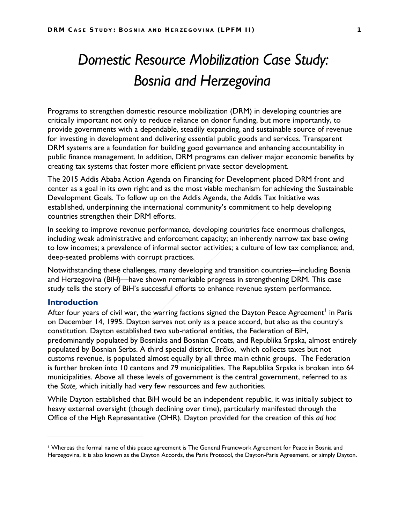### *Domestic Resource Mobilization Case Study: Bosnia and Herzegovina*

Programs to strengthen domestic resource mobilization (DRM) in developing countries are critically important not only to reduce reliance on donor funding, but more importantly, to provide governments with a dependable, steadily expanding, and sustainable source of revenue for investing in development and delivering essential public goods and services. Transparent DRM systems are a foundation for building good governance and enhancing accountability in public finance management. In addition, DRM programs can deliver major economic benefits by creating tax systems that foster more efficient private sector development.

The 2015 Addis Ababa Action Agenda on Financing for Development placed DRM front and center as a goal in its own right and as the most viable mechanism for achieving the Sustainable Development Goals. To follow up on the Addis Agenda, the Addis Tax Initiative was established, underpinning the international community's commitment to help developing countries strengthen their DRM efforts.

In seeking to improve revenue performance, developing countries face enormous challenges, including weak administrative and enforcement capacity; an inherently narrow tax base owing to low incomes; a prevalence of informal sector activities; a culture of low tax compliance; and, deep-seated problems with corrupt practices.

Notwithstanding these challenges, many developing and transition countries—including Bosnia and Herzegovina (BiH)—have shown remarkable progress in strengthening DRM. This case study tells the story of BiH's successful efforts to enhance revenue system performance.

#### <span id="page-8-0"></span>**Introduction**

 $\overline{a}$ 

After four years of civil war, the warring factions signed the Dayton Peace Agreement<sup>[1](#page-8-1)</sup> in Paris on December 14, 1995. Dayton serves not only as a peace accord, but also as the country's constitution. Dayton established two sub-national entities, the Federation of BiH, predominantly populated by Bosniaks and Bosnian Croats, and Republika Srpska, almost entirely populated by Bosnian Serbs. A third special district, Brčko, which collects taxes but not customs revenue, is populated almost equally by all three main ethnic groups. The Federation is further broken into 10 cantons and 79 municipalities. The Republika Srpska is broken into 64 municipalities. Above all these levels of government is the central government, referred to as the *State,* which initially had very few resources and few authorities.

While Dayton established that BiH would be an independent republic, it was initially subject to heavy external oversight (though declining over time), particularly manifested through the Office of the High Representative (OHR). Dayton provided for the creation of this *ad hoc*

<span id="page-8-1"></span><sup>1</sup> Whereas the formal name of this peace agreement is The General Framework Agreement for Peace in Bosnia and Herzegovina, it is also known as the Dayton Accords, the Paris Protocol, the Dayton-Paris Agreement, or simply Dayton.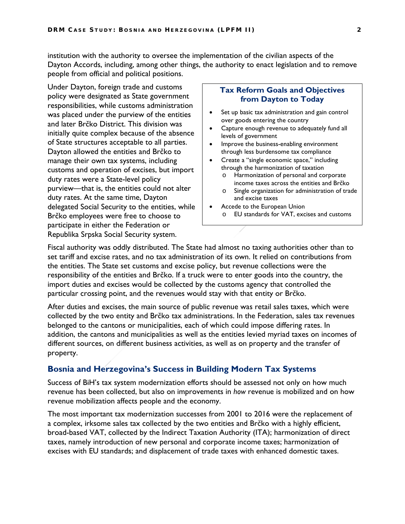institution with the authority to oversee the implementation of the civilian aspects of the Dayton Accords, including, among other things, the authority to enact legislation and to remove people from official and political positions.

Under Dayton, foreign trade and customs policy were designated as State government responsibilities, while customs administration was placed under the purview of the entities and later Brčko District. This division was initially quite complex because of the absence of State structures acceptable to all parties. Dayton allowed the entities and Brčko to manage their own tax systems, including customs and operation of excises, but import duty rates were a State-level policy purview—that is, the entities could not alter duty rates. At the same time, Dayton delegated Social Security to the entities, while Brčko employees were free to choose to participate in either the Federation or Republika Srpska Social Security system.

#### **Tax Reform Goals and Objectives from Dayton to Today**

- Set up basic tax administration and gain control over goods entering the country
- Capture enough revenue to adequately fund all levels of government
- Improve the business-enabling environment through less burdensome tax compliance
- Create a "single economic space," including through the harmonization of taxation
	- o Harmonization of personal and corporate income taxes across the entities and Brčko
	- o Single organization for administration of trade and excise taxes
- Accede to the European Union o EU standards for VAT, excises and customs

Fiscal authority was oddly distributed. The State had almost no taxing authorities other than to set tariff and excise rates, and no tax administration of its own. It relied on contributions from the entities. The State set customs and excise policy, but revenue collections were the responsibility of the entities and Brčko. If a truck were to enter goods into the country, the import duties and excises would be collected by the customs agency that controlled the particular crossing point, and the revenues would stay with that entity or Brčko.

After duties and excises, the main source of public revenue was retail sales taxes, which were collected by the two entity and Brčko tax administrations. In the Federation, sales tax revenues belonged to the cantons or municipalities, each of which could impose differing rates. In addition, the cantons and municipalities as well as the entities levied myriad taxes on incomes of different sources, on different business activities, as well as on property and the transfer of property.

#### <span id="page-9-0"></span>**Bosnia and Herzegovina's Success in Building Modern Tax Systems**

Success of BiH's tax system modernization efforts should be assessed not only on how much revenue has been collected, but also on improvements in *how* revenue is mobilized and on how revenue mobilization affects people and the economy.

The most important tax modernization successes from 2001 to 2016 were the replacement of a complex, irksome sales tax collected by the two entities and Brčko with a highly efficient, broad-based VAT, collected by the Indirect Taxation Authority (ITA); harmonization of direct taxes, namely introduction of new personal and corporate income taxes; harmonization of excises with EU standards; and displacement of trade taxes with enhanced domestic taxes.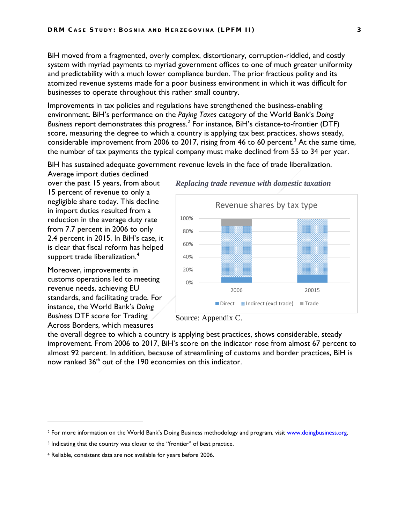BiH moved from a fragmented, overly complex, distortionary, corruption-riddled, and costly system with myriad payments to myriad government offices to one of much greater uniformity and predictability with a much lower compliance burden. The prior fractious polity and its atomized revenue systems made for a poor business environment in which it was difficult for businesses to operate throughout this rather small country.

Improvements in tax policies and regulations have strengthened the business-enabling environment. BiH's performance on the *Paying Taxes* category of the World Bank's *Doing Business* report demonstrates this progress. [2](#page-10-0) For instance, BiH's distance-to-frontier (DTF) score, measuring the degree to which a country is applying tax best practices, shows steady, considerable improvement from 2006 to 2017, rising from 46 to 60 percent.<sup>[3](#page-10-1)</sup> At the same time, the number of tax payments the typical company must make declined from 55 to 34 per year.

BiH has sustained adequate government revenue levels in the face of trade liberalization.

Average import duties declined over the past 15 years, from about 15 percent of revenue to only a negligible share today. This decline in import duties resulted from a reduction in the average duty rate from 7.7 percent in 2006 to only 2.4 percent in 2015. In BiH's case, it is clear that fiscal reform has helped support trade liberalization. [4](#page-10-2)

Moreover, improvements in customs operations led to meeting revenue needs, achieving EU standards, and facilitating trade. For instance, the World Bank's *Doing Business* DTF score for Trading Across Borders, which measures

 $\overline{a}$ 



*Replacing trade revenue with domestic taxation*

Source: Appendix C.

the overall degree to which a country is applying best practices, shows considerable, steady improvement. From 2006 to 2017, BiH's score on the indicator rose from almost 67 percent to almost 92 percent. In addition, because of streamlining of customs and border practices, BiH is now ranked 36<sup>th</sup> out of the 190 economies on this indicator.

<span id="page-10-0"></span><sup>2</sup> For more information on the World Bank's Doing Business methodology and program, visit www.doingbusiness.org.

<span id="page-10-1"></span><sup>&</sup>lt;sup>3</sup> Indicating that the country was closer to the "frontier" of best practice.

<span id="page-10-2"></span><sup>4</sup> Reliable, consistent data are not available for years before 2006.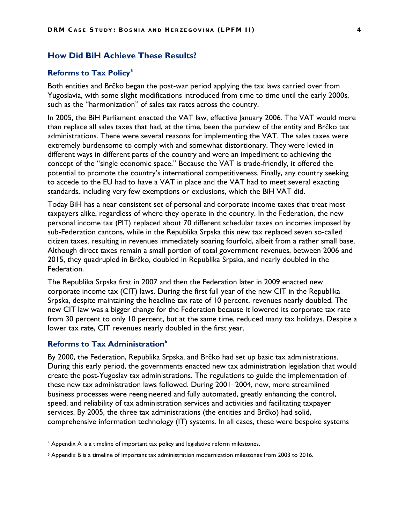#### <span id="page-11-0"></span>**How Did BiH Achieve These Results?**

#### <span id="page-11-1"></span>**Reforms to Tax Policy[5](#page-11-3)**

Both entities and Brčko began the post-war period applying the tax laws carried over from Yugoslavia, with some slight modifications introduced from time to time until the early 2000s, such as the "harmonization" of sales tax rates across the country.

In 2005, the BiH Parliament enacted the VAT law, effective January 2006. The VAT would more than replace all sales taxes that had, at the time, been the purview of the entity and Brčko tax administrations. There were several reasons for implementing the VAT. The sales taxes were extremely burdensome to comply with and somewhat distortionary. They were levied in different ways in different parts of the country and were an impediment to achieving the concept of the "single economic space." Because the VAT is trade-friendly, it offered the potential to promote the country's international competitiveness. Finally, any country seeking to accede to the EU had to have a VAT in place and the VAT had to meet several exacting standards, including very few exemptions or exclusions, which the BiH VAT did.

Today BiH has a near consistent set of personal and corporate income taxes that treat most taxpayers alike, regardless of where they operate in the country. In the Federation, the new personal income tax (PIT) replaced about 70 different schedular taxes on incomes imposed by sub-Federation cantons, while in the Republika Srpska this new tax replaced seven so-called citizen taxes, resulting in revenues immediately soaring fourfold, albeit from a rather small base. Although direct taxes remain a small portion of total government revenues, between 2006 and 2015, they quadrupled in Brčko, doubled in Republika Srpska, and nearly doubled in the Federation.

The Republika Srpska first in 2007 and then the Federation later in 2009 enacted new corporate income tax (CIT) laws. During the first full year of the new CIT in the Republika Srpska, despite maintaining the headline tax rate of 10 percent, revenues nearly doubled. The new CIT law was a bigger change for the Federation because it lowered its corporate tax rate from 30 percent to only 10 percent, but at the same time, reduced many tax holidays. Despite a lower tax rate, CIT revenues nearly doubled in the first year.

#### <span id="page-11-2"></span>**Reforms to Tax Administration[6](#page-11-4)**

 $\overline{a}$ 

By 2000, the Federation, Republika Srpska, and Brčko had set up basic tax administrations. During this early period, the governments enacted new tax administration legislation that would create the post-Yugoslav tax administrations. The regulations to guide the implementation of these new tax administration laws followed. During 2001–2004, new, more streamlined business processes were reengineered and fully automated, greatly enhancing the control, speed, and reliability of tax administration services and activities and facilitating taxpayer services. By 2005, the three tax administrations (the entities and Brčko) had solid, comprehensive information technology (IT) systems. In all cases, these were bespoke systems

<span id="page-11-3"></span><sup>5</sup> Appendix A is a timeline of important tax policy and legislative reform milestones.

<span id="page-11-4"></span><sup>6</sup> Appendix B is a timeline of important tax administration modernization milestones from 2003 to 2016.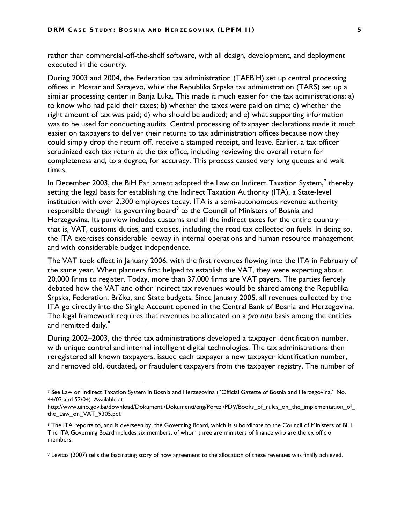rather than commercial-off-the-shelf software, with all design, development, and deployment executed in the country.

During 2003 and 2004, the Federation tax administration (TAFBiH) set up central processing offices in Mostar and Sarajevo, while the Republika Srpska tax administration (TARS) set up a similar processing center in Banja Luka. This made it much easier for the tax administrations: a) to know who had paid their taxes; b) whether the taxes were paid on time; c) whether the right amount of tax was paid; d) who should be audited; and e) what supporting information was to be used for conducting audits. Central processing of taxpayer declarations made it much easier on taxpayers to deliver their returns to tax administration offices because now they could simply drop the return off, receive a stamped receipt, and leave. Earlier, a tax officer scrutinized each tax return at the tax office, including reviewing the overall return for completeness and, to a degree, for accuracy. This process caused very long queues and wait times.

In December 2003, the BiH Parliament adopted the Law on Indirect Taxation System, $^7$  $^7$  thereby setting the legal basis for establishing the Indirect Taxation Authority (ITA), a State-level institution with over 2,300 employees today. ITA is a semi-autonomous revenue authority responsible through its governing board<sup>[8](#page-12-1)</sup> to the Council of Ministers of Bosnia and Herzegovina. Its purview includes customs and all the indirect taxes for the entire countrythat is, VAT, customs duties, and excises, including the road tax collected on fuels. In doing so, the ITA exercises considerable leeway in internal operations and human resource management and with considerable budget independence.

The VAT took effect in January 2006, with the first revenues flowing into the ITA in February of the same year. When planners first helped to establish the VAT, they were expecting about 20,000 firms to register. Today, more than 37,000 firms are VAT payers. The parties fiercely debated how the VAT and other indirect tax revenues would be shared among the Republika Srpska, Federation, Brčko, and State budgets. Since January 2005, all revenues collected by the ITA go directly into the Single Account opened in the Central Bank of Bosnia and Herzegovina. The legal framework requires that revenues be allocated on a *pro rata* basis among the entities and remitted daily. [9](#page-12-2)

During 2002–2003, the three tax administrations developed a taxpayer identification number, with unique control and internal intelligent digital technologies. The tax administrations then reregistered all known taxpayers, issued each taxpayer a new taxpayer identification number, and removed old, outdated, or fraudulent taxpayers from the taxpayer registry. The number of

 $\overline{a}$ 

<span id="page-12-0"></span><sup>7</sup> See Law on Indirect Taxation System in Bosnia and Herzegovina ("Official Gazette of Bosnia and Herzegovina," No. 44/03 and 52/04). Available at:

http://www.uino.gov.ba/download/Dokumenti/Dokumenti/eng/Porezi/PDV/Books\_of\_rules\_on\_the\_implementation\_of\_ the Law on VAT 9305.pdf.

<span id="page-12-1"></span><sup>8</sup> The ITA reports to, and is overseen by, the Governing Board, which is subordinate to the Council of Ministers of BiH. The ITA Governing Board includes six members, of whom three are ministers of finance who are the ex officio members.

<span id="page-12-2"></span><sup>9</sup> Levitas (2007) tells the fascinating story of how agreement to the allocation of these revenues was finally achieved.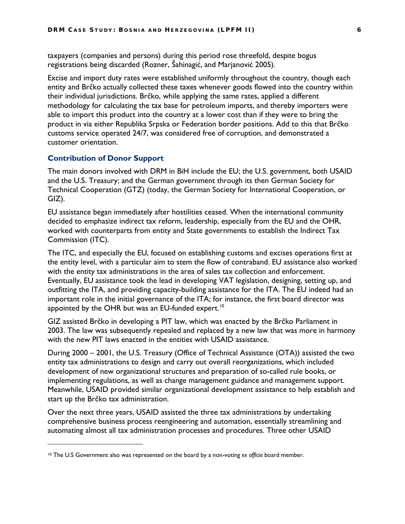taxpayers (companies and persons) during this period rose threefold, despite bogus registrations being discarded (Rozner, Šahinagić, and Marjanović 2005).

Excise and import duty rates were established uniformly throughout the country, though each entity and Brčko actually collected these taxes whenever goods flowed into the country within their individual jurisdictions. Brčko, while applying the same rates, applied a different methodology for calculating the tax base for petroleum imports, and thereby importers were able to import this product into the country at a lower cost than if they were to bring the product in via either Republika Srpska or Federation border positions. Add to this that Brčko customs service operated 24/7, was considered free of corruption, and demonstrated a customer orientation.

#### <span id="page-13-0"></span>**Contribution of Donor Support**

 $\overline{a}$ 

The main donors involved with DRM in BiH include the EU; the U.S. government, both USAID and the U.S. Treasury; and the German government through its then German Society for Technical Cooperation (GTZ) (today, the German Society for International Cooperation, or GIZ).

EU assistance began immediately after hostilities ceased. When the international community decided to emphasize indirect tax reform, leadership, especially from the EU and the OHR, worked with counterparts from entity and State governments to establish the Indirect Tax Commission (ITC).

The ITC, and especially the EU, focused on establishing customs and excises operations first at the entity level, with a particular aim to stem the flow of contraband. EU assistance also worked with the entity tax administrations in the area of sales tax collection and enforcement. Eventually, EU assistance took the lead in developing VAT legislation, designing, setting up, and outfitting the ITA, and providing capacity-building assistance for the ITA. The EU indeed had an important role in the initial governance of the ITA; for instance, the first board director was appointed by the OHR but was an EU-funded expert.<sup>[10](#page-13-1)</sup>

GIZ assisted Brčko in developing a PIT law, which was enacted by the Brčko Parliament in 2003. The law was subsequently repealed and replaced by a new law that was more in harmony with the new PIT laws enacted in the entities with USAID assistance.

During 2000 – 2001, the U.S. Treasury (Office of Technical Assistance (OTA)) assisted the two entity tax administrations to design and carry out overall reorganizations, which included development of new organizational structures and preparation of so-called rule books, or implementing regulations, as well as change management guidance and management support. Meanwhile, USAID provided similar organizational development assistance to help establish and start up the Brčko tax administration.

Over the next three years, USAID assisted the three tax administrations by undertaking comprehensive business process reengineering and automation, essentially streamlining and automating almost all tax administration processes and procedures. Three other USAID

<span id="page-13-1"></span><sup>10</sup> The U.S Government also was represented on the board by a non-voting *ex officio* board member.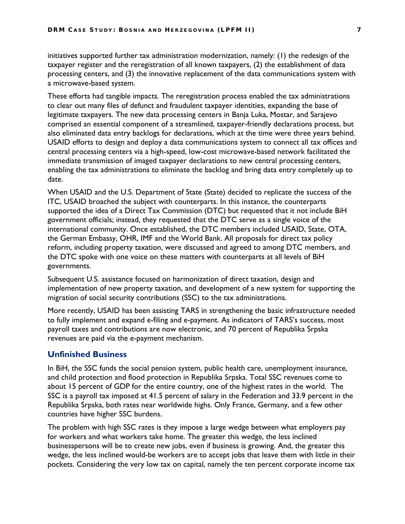initiatives supported further tax administration modernization, namely: (1) the redesign of the taxpayer register and the reregistration of all known taxpayers, (2) the establishment of data processing centers, and (3) the innovative replacement of the data communications system with a microwave-based system.

These efforts had tangible impacts. The reregistration process enabled the tax administrations to clear out many files of defunct and fraudulent taxpayer identities, expanding the base of legitimate taxpayers. The new data processing centers in Banja Luka, Mostar, and Sarajevo comprised an essential component of a streamlined, taxpayer-friendly declarations process, but also eliminated data entry backlogs for declarations, which at the time were three years behind. USAID efforts to design and deploy a data communications system to connect all tax offices and central processing centers via a high-speed, low-cost microwave-based network facilitated the immediate transmission of imaged taxpayer declarations to new central processing centers, enabling the tax administrations to eliminate the backlog and bring data entry completely up to date.

When USAID and the U.S. Department of State (State) decided to replicate the success of the ITC, USAID broached the subject with counterparts. In this instance, the counterparts supported the idea of a Direct Tax Commission (DTC) but requested that it not include BiH government officials; instead, they requested that the DTC serve as a single voice of the international community. Once established, the DTC members included USAID, State, OTA, the German Embassy, OHR, IMF and the World Bank. All proposals for direct tax policy reform, including property taxation, were discussed and agreed to among DTC members, and the DTC spoke with one voice on these matters with counterparts at all levels of BiH governments.

Subsequent U.S. assistance focused on harmonization of direct taxation, design and implementation of new property taxation, and development of a new system for supporting the migration of social security contributions (SSC) to the tax administrations.

More recently, USAID has been assisting TARS in strengthening the basic infrastructure needed to fully implement and expand e-filing and e-payment. As indicators of TARS's success, most payroll taxes and contributions are now electronic, and 70 percent of Republika Srpska revenues are paid via the e-payment mechanism.

#### <span id="page-14-0"></span>**Unfinished Business**

In BiH, the SSC funds the social pension system, public health care, unemployment insurance, and child protection and flood protection in Republika Srpska. Total SSC revenues come to about 15 percent of GDP for the entire country, one of the highest rates in the world. The SSC is a payroll tax imposed at 41.5 percent of salary in the Federation and 33.9 percent in the Republika Srpska, both rates near worldwide highs. Only France, Germany, and a few other countries have higher SSC burdens.

The problem with high SSC rates is they impose a large wedge between what employers pay for workers and what workers take home. The greater this wedge, the less inclined businesspersons will be to create new jobs, even if business is growing. And, the greater this wedge, the less inclined would-be workers are to accept jobs that leave them with little in their pockets. Considering the very low tax on capital, namely the ten percent corporate income tax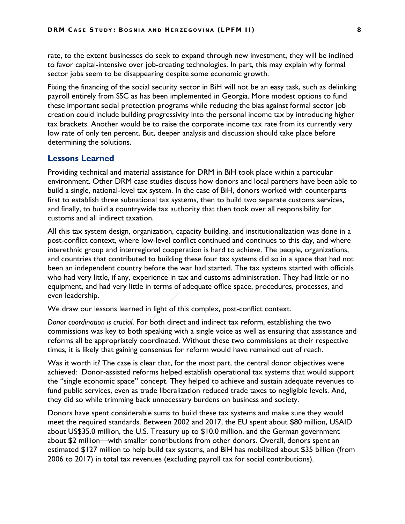rate, to the extent businesses do seek to expand through new investment, they will be inclined to favor capital-intensive over job-creating technologies. In part, this may explain why formal sector jobs seem to be disappearing despite some economic growth.

Fixing the financing of the social security sector in BiH will not be an easy task, such as delinking payroll entirely from SSC as has been implemented in Georgia. More modest options to fund these important social protection programs while reducing the bias against formal sector job creation could include building progressivity into the personal income tax by introducing higher tax brackets. Another would be to raise the corporate income tax rate from its currently very low rate of only ten percent. But, deeper analysis and discussion should take place before determining the solutions.

#### <span id="page-15-0"></span>**Lessons Learned**

Providing technical and material assistance for DRM in BiH took place within a particular environment. Other DRM case studies discuss how donors and local partners have been able to build a single, national-level tax system. In the case of BiH, donors worked with counterparts first to establish three subnational tax systems, then to build two separate customs services, and finally, to build a countrywide tax authority that then took over all responsibility for customs and all indirect taxation.

All this tax system design, organization, capacity building, and institutionalization was done in a post-conflict context, where low-level conflict continued and continues to this day, and where interethnic group and interregional cooperation is hard to achieve. The people, organizations, and countries that contributed to building these four tax systems did so in a space that had not been an independent country before the war had started. The tax systems started with officials who had very little, if any, experience in tax and customs administration. They had little or no equipment, and had very little in terms of adequate office space, procedures, processes, and even leadership.

We draw our lessons learned in light of this complex, post-conflict context.

*Donor coordination is crucial*. For both direct and indirect tax reform, establishing the two commissions was key to both speaking with a single voice as well as ensuring that assistance and reforms all be appropriately coordinated. Without these two commissions at their respective times, it is likely that gaining consensus for reform would have remained out of reach.

Was it worth it? The case is clear that, for the most part, the central donor objectives were achieved: Donor-assisted reforms helped establish operational tax systems that would support the "single economic space" concept. They helped to achieve and sustain adequate revenues to fund public services, even as trade liberalization reduced trade taxes to negligible levels. And, they did so while trimming back unnecessary burdens on business and society.

Donors have spent considerable sums to build these tax systems and make sure they would meet the required standards. Between 2002 and 2017, the EU spent about \$80 million, USAID about US\$35.0 million, the U.S. Treasury up to \$10.0 million, and the German government about \$2 million—with smaller contributions from other donors. Overall, donors spent an estimated \$127 million to help build tax systems, and BiH has mobilized about \$35 billion (from 2006 to 2017) in total tax revenues (excluding payroll tax for social contributions).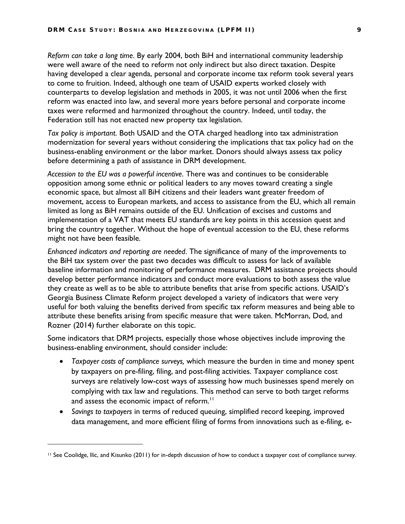*Reform can take a long time*. By early 2004, both BiH and international community leadership were well aware of the need to reform not only indirect but also direct taxation. Despite having developed a clear agenda, personal and corporate income tax reform took several years to come to fruition. Indeed, although one team of USAID experts worked closely with counterparts to develop legislation and methods in 2005, it was not until 2006 when the first reform was enacted into law, and several more years before personal and corporate income taxes were reformed and harmonized throughout the country. Indeed, until today, the Federation still has not enacted new property tax legislation.

*Tax policy is important*. Both USAID and the OTA charged headlong into tax administration modernization for several years without considering the implications that tax policy had on the business-enabling environment or the labor market. Donors should always assess tax policy before determining a path of assistance in DRM development.

*Accession to the EU was a powerful incentive*. There was and continues to be considerable opposition among some ethnic or political leaders to any moves toward creating a single economic space, but almost all BiH citizens and their leaders want greater freedom of movement, access to European markets, and access to assistance from the EU, which all remain limited as long as BiH remains outside of the EU. Unification of excises and customs and implementation of a VAT that meets EU standards are key points in this accession quest and bring the country together. Without the hope of eventual accession to the EU, these reforms might not have been feasible.

*Enhanced indicators and reporting are needed*. The significance of many of the improvements to the BiH tax system over the past two decades was difficult to assess for lack of available baseline information and monitoring of performance measures. DRM assistance projects should develop better performance indicators and conduct more evaluations to both assess the value they create as well as to be able to attribute benefits that arise from specific actions. USAID's Georgia Business Climate Reform project developed a variety of indicators that were very useful for both valuing the benefits derived from specific tax reform measures and being able to attribute these benefits arising from specific measure that were taken. McMorran, Dod, and Rozner (2014) further elaborate on this topic.

Some indicators that DRM projects, especially those whose objectives include improving the business-enabling environment, should consider include:

- *Taxpayer costs of compliance surveys,* which measure the burden in time and money spent by taxpayers on pre-filing, filing, and post-filing activities. Taxpayer compliance cost surveys are relatively low-cost ways of assessing how much businesses spend merely on complying with tax law and regulations. This method can serve to both target reforms and assess the economic impact of reform.<sup>[11](#page-16-0)</sup>
- *Savings to taxpayers* in terms of reduced queuing, simplified record keeping, improved data management, and more efficient filing of forms from innovations such as e-filing, e-

 $\overline{a}$ 

<span id="page-16-0"></span><sup>11</sup> See Coolidge, Ilic, and Kisunko (2011) for in-depth discussion of how to conduct a taxpayer cost of compliance survey.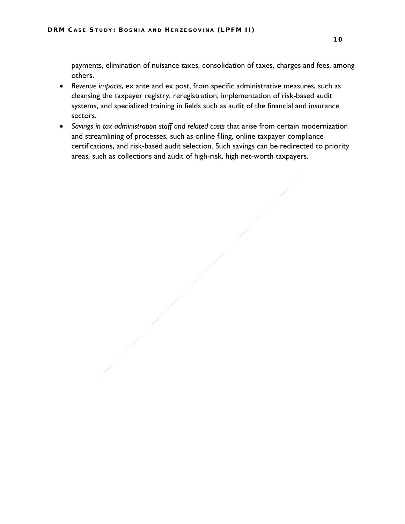payments, elimination of nuisance taxes, consolidation of taxes, charges and fees, among others.

- *Revenue impacts*, ex ante and ex post, from specific administrative measures, such as cleansing the taxpayer registry, reregistration, implementation of risk-based audit systems, and specialized training in fields such as audit of the financial and insurance sectors.
- <span id="page-17-0"></span>• *Savings in tax administration staff and related costs* that arise from certain modernization and streamlining of processes, such as online filing, online taxpayer compliance certifications, and risk-based audit selection. Such savings can be redirected to priority areas, such as collections and audit of high-risk, high net-worth taxpayers.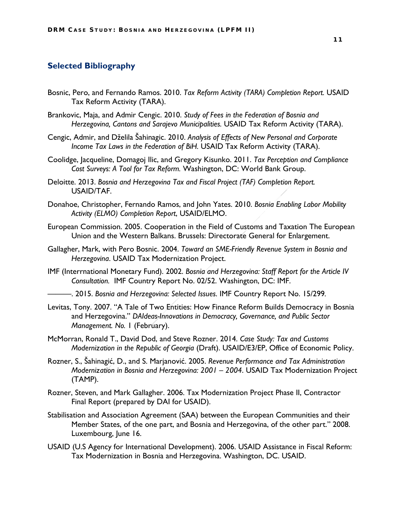#### **Selected Bibliography**

- Bosnic, Pero, and Fernando Ramos. 2010. *Tax Reform Activity (TARA) Completion Report.* USAID Tax Reform Activity (TARA).
- Brankovic, Maja, and Admir Cengic. 2010. *Study of Fees in the Federation of Bosnia and Herzegovina, Cantons and Sarajevo Municipalities.* USAID Tax Reform Activity (TARA).
- Cengic, Admir, and Dželila Šahinagic. 2010. *Analysis of Effects of New Personal and Corporate Income Tax Laws in the Federation of BiH.* USAID Tax Reform Activity (TARA).
- Coolidge, Jacqueline, Domagoj Ilic, and Gregory Kisunko. 2011. *Tax Perception and Compliance Cost Surveys: A Tool for Tax Reform.* Washington, DC: World Bank Group.
- Deloitte. 2013. *Bosnia and Herzegovina Tax and Fiscal Project (TAF) Completion Report.* USAID/TAF.
- Donahoe, Christopher, Fernando Ramos, and John Yates. 2010. *Bosnia Enabling Labor Mobility Activity (ELMO) Completion Report*, USAID/ELMO.
- European Commission. 2005. Cooperation in the Field of Customs and Taxation The European Union and the Western Balkans. Brussels: Directorate General for Enlargement.
- Gallagher, Mark, with Pero Bosnic. 2004. *Toward an SME-Friendly Revenue System in Bosnia and Herzegovina*. USAID Tax Modernization Project.
- IMF (Interrnational Monetary Fund). 2002. *Bosnia and Herzegovina: Staff Report for the Article IV Consultation.* IMF Country Report No. 02/52. Washington, DC: IMF.
- ———. 2015. *Bosnia and Herzegovina: Selected Issues*. IMF Country Report No. 15/299*.*
- Levitas, Tony. 2007. "A Tale of Two Entities: How Finance Reform Builds Democracy in Bosnia and Herzegovina." *DAIdeas-Innovations in Democracy, Governance, and Public Sector Management. No.* 1 (February).
- McMorran, Ronald T., David Dod, and Steve Rozner. 2014. *Case Study: Tax and Customs Modernization in the Republic of Georgia* (Draft). USAID/E3/EP, Office of Economic Policy.
- Rozner, S., Šahinagić, D., and S. Marjanović. 2005. *Revenue Performance and Tax Administration Modernization in Bosnia and Herzegovina: 2001 – 2004*. USAID Tax Modernization Project (TAMP).
- Rozner, Steven, and Mark Gallagher. 2006. Tax Modernization Project Phase II, Contractor Final Report (prepared by DAI for USAID).
- Stabilisation and Association Agreement (SAA) between the European Communities and their Member States, of the one part, and Bosnia and Herzegovina, of the other part." 2008. Luxembourg, June 16.
- USAID (U.S Agency for International Development). 2006. USAID Assistance in Fiscal Reform: Tax Modernization in Bosnia and Herzegovina. Washington, DC. USAID.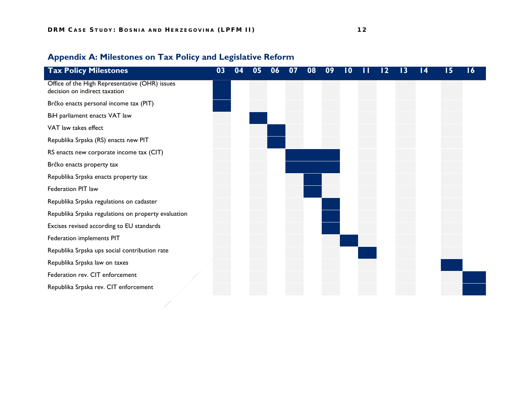<span id="page-19-0"></span>

| <b>Tax Policy Milestones</b>                                                    | 03 |  | Uб | 07 | 08 | 09 |  |  | 14 | 15 | $\overline{16}$ |
|---------------------------------------------------------------------------------|----|--|----|----|----|----|--|--|----|----|-----------------|
| Office of the High Representative (OHR) issues<br>decision on indirect taxation |    |  |    |    |    |    |  |  |    |    |                 |
| Brčko enacts personal income tax (PIT)                                          |    |  |    |    |    |    |  |  |    |    |                 |
| BiH parliament enacts VAT law                                                   |    |  |    |    |    |    |  |  |    |    |                 |
| VAT law takes effect                                                            |    |  |    |    |    |    |  |  |    |    |                 |
| Republika Srpska (RS) enacts new PIT                                            |    |  |    |    |    |    |  |  |    |    |                 |
| RS enacts new corporate income tax (CIT)                                        |    |  |    |    |    |    |  |  |    |    |                 |
| Brčko enacts property tax                                                       |    |  |    |    |    |    |  |  |    |    |                 |
| Republika Srpska enacts property tax                                            |    |  |    |    |    |    |  |  |    |    |                 |
| Federation PIT law                                                              |    |  |    |    |    |    |  |  |    |    |                 |
| Republika Srpska regulations on cadaster                                        |    |  |    |    |    |    |  |  |    |    |                 |
| Republika Srpska regulations on property evaluation                             |    |  |    |    |    |    |  |  |    |    |                 |
| Excises revised according to EU standards                                       |    |  |    |    |    |    |  |  |    |    |                 |
| Federation implements PIT                                                       |    |  |    |    |    |    |  |  |    |    |                 |
| Republika Srpska ups social contribution rate                                   |    |  |    |    |    |    |  |  |    |    |                 |
| Republika Srpska law on taxes                                                   |    |  |    |    |    |    |  |  |    |    |                 |
| Federation rev. CIT enforcement                                                 |    |  |    |    |    |    |  |  |    |    |                 |
| Republika Srpska rev. CIT enforcement                                           |    |  |    |    |    |    |  |  |    |    |                 |
|                                                                                 |    |  |    |    |    |    |  |  |    |    |                 |

### **Appendix A: Milestones on Tax Policy and Legislative Reform**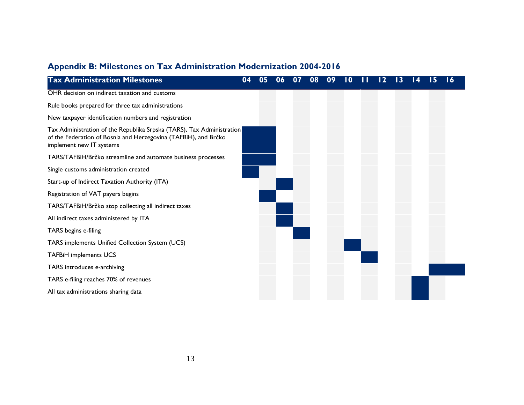### **Appendix B: Milestones on Tax Administration Modernization 2004-2016**

<span id="page-20-0"></span>

| <b>Tax Administration Milestones</b>                                                                                                                                 | 04 | UÕ |  |  |  |  | 16 |
|----------------------------------------------------------------------------------------------------------------------------------------------------------------------|----|----|--|--|--|--|----|
| OHR decision on indirect taxation and customs                                                                                                                        |    |    |  |  |  |  |    |
| Rule books prepared for three tax administrations                                                                                                                    |    |    |  |  |  |  |    |
| New taxpayer identification numbers and registration                                                                                                                 |    |    |  |  |  |  |    |
| Tax Administration of the Republika Srpska (TARS), Tax Administration<br>of the Federation of Bosnia and Herzegovina (TAFBiH), and Brčko<br>implement new IT systems |    |    |  |  |  |  |    |
| TARS/TAFBiH/Brčko streamline and automate business processes                                                                                                         |    |    |  |  |  |  |    |
| Single customs administration created                                                                                                                                |    |    |  |  |  |  |    |
| Start-up of Indirect Taxation Authority (ITA)                                                                                                                        |    |    |  |  |  |  |    |
| Registration of VAT payers begins                                                                                                                                    |    |    |  |  |  |  |    |
| TARS/TAFBiH/Brčko stop collecting all indirect taxes                                                                                                                 |    |    |  |  |  |  |    |
| All indirect taxes administered by ITA                                                                                                                               |    |    |  |  |  |  |    |
| TARS begins e-filing                                                                                                                                                 |    |    |  |  |  |  |    |
| TARS implements Unified Collection System (UCS)                                                                                                                      |    |    |  |  |  |  |    |
| <b>TAFBiH implements UCS</b>                                                                                                                                         |    |    |  |  |  |  |    |
| TARS introduces e-archiving                                                                                                                                          |    |    |  |  |  |  |    |
| TARS e-filing reaches 70% of revenues                                                                                                                                |    |    |  |  |  |  |    |
| All tax administrations sharing data                                                                                                                                 |    |    |  |  |  |  |    |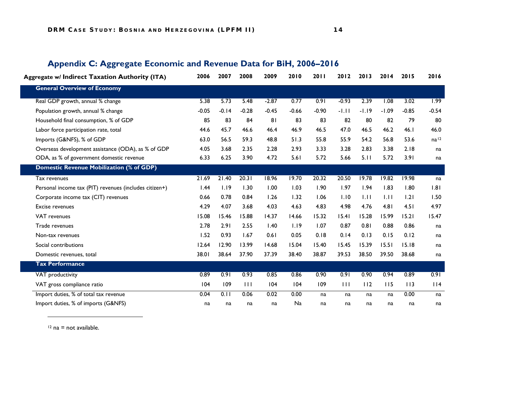#### <span id="page-21-0"></span>**Aggregate w/ Indirect Taxation Authority (ITA) 2006 2007 2008 2009 2010 2011 2012 2013 2014 2015 2016 General Overview of Economy** Real GDP growth, annual % change The State State State State State State State State State State State State State State State State State State State State State State State State State State State State State State State Population growth, annual % change  $\frac{1}{2}$  change  $\frac{1}{2}$  -0.05 -0.14 -0.28 -0.45 -0.45 -0.66 -0.90 -1.11 -1.19 -1.09 -0.85 -0.54 Household final consumption, % of GDP 80 85 85 83 84 81 83 83 83 82 80 82 79 80 Labor force participation rate, total 44.6 44.6 45.7 46.6 46.4 46.9 46.5 47.0 46.5 46.2 46.1 46.0 Imports (G&NFS), % of GDP 63.0 63.0 56.5 59.3 48.8 51.3 55.8 55.9 54.2 56.8 53.6 na<sup>[12](#page-21-1)</sup> Overseas development assistance (ODA), as % of GDP 4.05 3.68 2.35 2.28 2.93 3.33 3.28 2.83 3.38 2.18 na ODA, as % of government domestic revenue 6.33 6.25 3.90 4.72 5.61 5.72 5.66 5.11 5.72 3.91 na **Domestic Revenue Mobilization (% of GDP)** Tax revenues 21.69 21.40 20.31 18.96 19.70 20.32 20.50 19.78 19.82 19.98 na Personal income tax (PIT) revenues (includes citizen+) 1.44 1.19 1.30 1.00 1.03 1.90 1.97 1.94 1.83 1.80 1.81 Corporate income tax (CIT) revenues 0.66 0.78 0.84 1.26 1.32 1.06 1.10 1.11 1.11 1.21 1.50 Excise revenues 4.29 4.07 3.68 4.03 4.63 4.83 4.98 4.76 4.81 4.51 4.97 VAT revenues 15.08 15.46 15.88 14.37 14.66 15.32 15.41 15.28 15.99 15.21 15.47 Trade revenues 2.78 2.91 2.55 1.40 1.19 1.07 0.87 0.81 0.88 0.86 na Non-tax revenues 1.52 0.93 1.67 0.61 0.05 0.18 0.14 0.13 0.15 0.12 na Social contributions 12.64 12.90 13.99 14.68 15.04 15.40 15.45 15.39 15.51 15.18 na Domestic revenues, total 38.01 38.64 37.90 37.39 38.40 38.87 39.53 38.50 39.50 38.68 na **Tax Performance** VAT productivity 0.89 0.91 0.93 0.85 0.86 0.90 0.91 0.90 0.94 0.89 0.91 VAT gross compliance ratio 104 109 111 104 104 109 111 112 115 113 114 Import duties, % of total tax revenue 0.04 0.11 0.06 0.02 0.00 na na na na 0.00 na Import duties, % of imports (G&NFS) na na na na Na na na na na na na

#### <span id="page-21-1"></span>**Appendix C: Aggregate Economic and Revenue Data for BiH, 2006–2016**

 $12$  na = not available.

 $\overline{a}$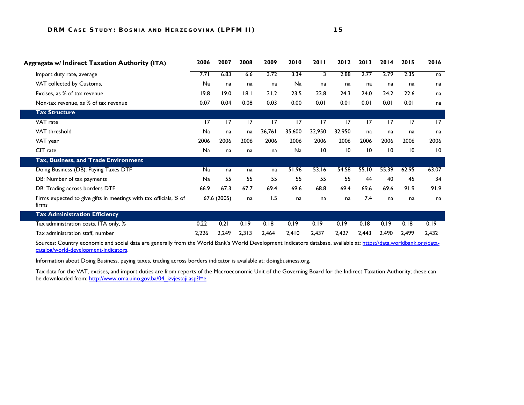| Aggregate w/ Indirect Taxation Authority (ITA)                             | 2006      | 2007            | 2008  | 2009   | 2010   | <b>2011</b>     | 2012   | 2013            | 2014            | 2015            | 2016            |
|----------------------------------------------------------------------------|-----------|-----------------|-------|--------|--------|-----------------|--------|-----------------|-----------------|-----------------|-----------------|
| Import duty rate, average                                                  | 7.71      | 6.83            | 6.6   | 3.72   | 3.34   | 3               | 2.88   | 2.77            | 2.79            | 2.35            | na              |
| VAT collected by Customs,                                                  | <b>Na</b> | na              | na    | na     | Na     | na              | na     | na              | na              | na              | na              |
| Excises, as % of tax revenue                                               | 19.8      | 19.0            | 8.1   | 21.2   | 23.5   | 23.8            | 24.3   | 24.0            | 24.2            | 22.6            | na              |
| Non-tax revenue, as % of tax revenue                                       | 0.07      | 0.04            | 0.08  | 0.03   | 0.00   | 0.01            | 0.01   | 0.01            | 0.01            | 0.01            | na              |
| <b>Tax Structure</b>                                                       |           |                 |       |        |        |                 |        |                 |                 |                 |                 |
| VAT rate                                                                   | 17        | $\overline{17}$ | 17    | 17     | 17     | 17              | 17     | 17              | 17              | 17              | $\overline{17}$ |
| VAT threshold                                                              | Na        | na              | na    | 36,761 | 35,600 | 32,950          | 32,950 | na              | na              | na              | na              |
| VAT year                                                                   | 2006      | 2006            | 2006  | 2006   | 2006   | 2006            | 2006   | 2006            | 2006            | 2006            | 2006            |
| CIT rate                                                                   | <b>Na</b> | na              | na    | na     | Na     | $\overline{10}$ | 10     | $\overline{10}$ | $\overline{10}$ | $\overline{10}$ | $\overline{10}$ |
| Tax, Business, and Trade Environment                                       |           |                 |       |        |        |                 |        |                 |                 |                 |                 |
| Doing Business (DB): Paying Taxes DTF                                      | <b>Na</b> | na              | na    | na     | 51.96  | 53.16           | 54.58  | 55.10           | 55.39           | 62.95           | 63.07           |
| DB: Number of tax payments                                                 | <b>Na</b> | 55              | 55    | 55     | 55     | 55              | 55     | 44              | 40              | 45              | 34              |
| DB: Trading across borders DTF                                             | 66.9      | 67.3            | 67.7  | 69.4   | 69.6   | 68.8            | 69.4   | 69.6            | 69.6            | 91.9            | 91.9            |
| Firms expected to give gifts in meetings with tax officials, % of<br>firms |           | 67.6 (2005)     | na    | 1.5    | na     | na              | na     | 7.4             | na              | na              | na              |
| <b>Tax Administration Efficiency</b>                                       |           |                 |       |        |        |                 |        |                 |                 |                 |                 |
| Tax administration costs, ITA only, %                                      | 0.22      | 0.21            | 0.19  | 0.18   | 0.19   | 0.19            | 0.19   | 0.18            | 0.19            | 0.18            | 0.19            |
| Tax administration staff, number                                           | 2,226     | 2,249           | 2,313 | 2,464  | 2,410  | 2,437           | 2,427  | 2,443           | 2,490           | 2,499           | 2,432           |

Sources: Country economic and social data are generally from the World Bank's World Development Indicators database, available at: [https://data.worldbank.org/data](https://data.worldbank.org/data-catalog/world-development-indicators)[catalog/world-development-indicators.](https://data.worldbank.org/data-catalog/world-development-indicators) 

Information about Doing Business, paying taxes, trading across borders indicator is available at: doingbusiness.org.

Tax data for the VAT, excises, and import duties are from reports of the Macroeconomic Unit of the Governing Board for the Indirect Taxation Authority; these can be downloaded from: http://www.oma.uino.gov.ba/04\_izvjestaji.asp?l=e.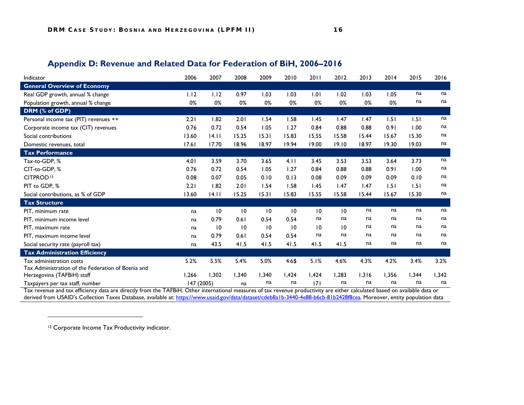#### <span id="page-23-1"></span>**Appendix D: Revenue and Related Data for Federation of BiH, 2006–2016**

<span id="page-23-0"></span>

| Indicator                                          | 2006       | 2007            | 2008  | 2009            | 2010  | 2011            | 2012  | 2013  | 2014  | 2015  | 2016  |
|----------------------------------------------------|------------|-----------------|-------|-----------------|-------|-----------------|-------|-------|-------|-------|-------|
| <b>General Overview of Economy</b>                 |            |                 |       |                 |       |                 |       |       |       |       |       |
| Real GDP growth, annual % change                   | 1.12       | 1.12            | 0.97  | 1.03            | 1.03  | 1.01            | 1.02  | 1.03  | 1.05  | na    | na    |
| Population growth, annual % change                 | 0%         | 0%              | 0%    | 0%              | 0%    | 0%              | 0%    | 0%    | 0%    | na    | na    |
| DRM (% of GDP)                                     |            |                 |       |                 |       |                 |       |       |       |       |       |
| Personal income tax (PIT) revenues ++              | 2.21       | 1.82            | 2.01  | 1.54            | 1.58  | 1.45            | 1.47  | 1.47  | 1.51  | 1.51  | na    |
| Corporate income tax (CIT) revenues                | 0.76       | 0.72            | 0.54  | 1.05            | 1.27  | 0.84            | 0.88  | 0.88  | 0.91  | 1.00  | na    |
| Social contributions                               | 13.60      | 14.11           | 15.25 | 15.31           | 15.83 | 15.55           | 15.58 | 15.44 | 15.67 | 15.30 | na    |
| Domestic revenues, total                           | 17.61      | 17.70           | 18.96 | 18.97           | 19.94 | 19.00           | 19.10 | 18.97 | 19.30 | 19.03 | na    |
| <b>Tax Performance</b>                             |            |                 |       |                 |       |                 |       |       |       |       |       |
| Tax-to-GDP, %                                      | 4.01       | 3.59            | 3.70  | 3.65            | 4.11  | 3.45            | 3.53  | 3.53  | 3.64  | 3.73  | na    |
| CIT-to-GDP, %                                      | 0.76       | 0.72            | 0.54  | 1.05            | 1.27  | 0.84            | 0.88  | 0.88  | 0.91  | 1.00  | na    |
| CITPROD <sup>13</sup>                              | 0.08       | 0.07            | 0.05  | 0.10            | 0.13  | 0.08            | 0.09  | 0.09  | 0.09  | 0.10  | na    |
| PIT to GDP, %                                      | 2.21       | 1.82            | 2.01  | 1.54            | 1.58  | 1.45            | 1.47  | 1.47  | 1.51  | 1.51  | na    |
| Social contributions, as % of GDP                  | 13.60      | 4.1             | 15.25 | 15.31           | 15.83 | 15.55           | 15.58 | 15.44 | 15.67 | 15.30 | na    |
| <b>Tax Structure</b>                               |            |                 |       |                 |       |                 |       |       |       |       |       |
| PIT, minimum rate                                  | na         | $\overline{10}$ | 10    | 10              | 10    | 10              | 10    | na    | na    | na    | na    |
| PIT, minimum income level                          | na         | 0.79            | 0.61  | 0.54            | 0.54  | na              | na    | na    | na    | na    | na    |
| PIT, maximum rate                                  | na         | $\overline{10}$ | 10    | $\overline{10}$ | 10    | $\overline{10}$ | 10    | na    | na    | na    | na    |
| PIT, maximum income level                          | na         | 0.79            | 0.61  | 0.54            | 0.54  | na              | na    | na    | na    | na    | na    |
| Social security rate (payroll tax)                 | na         | 43.5            | 41.5  | 41.5            | 41.5  | 41.5            | 41.5  | na    | na    | na    | na    |
| <b>Tax Administration Efficiency</b>               |            |                 |       |                 |       |                 |       |       |       |       |       |
| Tax administration costs                           | 5.2%       | 5.5%            | 5.4%  | 5.0%            | 4.6\$ | 5.1%            | 4.6%  | 4.3%  | 4.2%  | 3.4%  | 3.2%  |
| Tax Administration of the Federation of Bosnia and |            |                 |       |                 |       |                 |       |       |       |       |       |
| Herzegovina (TAFBiH) staff                         | 1,266      | 1,302           | 1,340 | 1,340           | 1,424 | 1,424           | 1,283 | 1,316 | 1,356 | 1,344 | 1,342 |
| Taxpayers per tax staff, number                    | 147 (2005) |                 | na    | na              | na    | 7               | na    | na    | na    | na    | na    |

Tax revenue and tax efficiency data are directly from the TAFBiH. Other international measures of tax revenue productivity are either calculated based on available data or derived from USAID's Collection Taxes Database, available at: <u>https://www.usaid.gov/data/dataset/cdeb8a1b-3440-4e88-b6cb-81b2428f8cea</u>. Moreover, entity population data

<sup>13</sup> Corporate Income Tax Productivity indicator.

 $\overline{a}$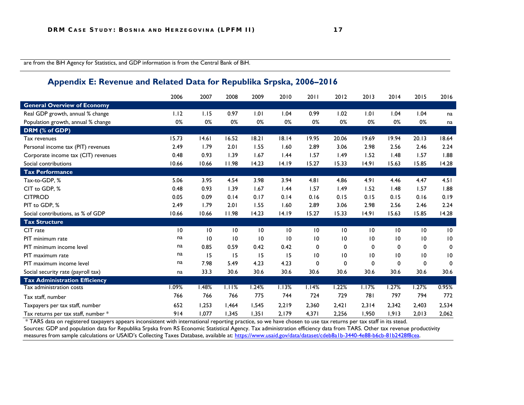are from the BiH Agency for Statistics, and GDP information is from the Central Bank of BiH.

#### **Appendix E: Revenue and Related Data for Republika Srpska, 2006–2016**

<span id="page-24-0"></span>

|                                      | 2006  | 2007            | 2008  | 2009            | 2010            | 2011            | 2012        | 2013  | 2014            | 2015            | 2016            |
|--------------------------------------|-------|-----------------|-------|-----------------|-----------------|-----------------|-------------|-------|-----------------|-----------------|-----------------|
| <b>General Overview of Economy</b>   |       |                 |       |                 |                 |                 |             |       |                 |                 |                 |
| Real GDP growth, annual % change     | 1.12  | 1.15            | 0.97  | 1.01            | 1.04            | 0.99            | 1.02        | 1.01  | 1.04            | 1.04            | na              |
| Population growth, annual % change   | 0%    | 0%              | 0%    | 0%              | 0%              | 0%              | 0%          | 0%    | 0%              | 0%              | na              |
| DRM (% of GDP)                       |       |                 |       |                 |                 |                 |             |       |                 |                 |                 |
| Tax revenues                         | 15.73 | 14.61           | 16.52 | 18.21           | 18.14           | 19.95           | 20.06       | 19.69 | 19.94           | 20.13           | 18.64           |
| Personal income tax (PIT) revenues   | 2.49  | 1.79            | 2.01  | 1.55            | 1.60            | 2.89            | 3.06        | 2.98  | 2.56            | 2.46            | 2.24            |
| Corporate income tax (CIT) revenues  | 0.48  | 0.93            | 1.39  | 1.67            | 1.44            | 1.57            | 1.49        | 1.52  | 1.48            | 1.57            | 1.88            |
| Social contributions                 | 10.66 | 10.66           | 11.98 | 14.23           | 14.19           | 15.27           | 15.33       | 14.91 | 15.63           | 15.85           | 14.28           |
| <b>Tax Performance</b>               |       |                 |       |                 |                 |                 |             |       |                 |                 |                 |
| Tax-to-GDP, %                        | 5.06  | 3.95            | 4.54  | 3.98            | 3.94            | 4.81            | 4.86        | 4.91  | 4.46            | 4.47            | 4.51            |
| CIT to GDP, %                        | 0.48  | 0.93            | 1.39  | 1.67            | 1.44            | 1.57            | 1.49        | 1.52  | 1.48            | 1.57            | 1.88            |
| <b>CITPROD</b>                       | 0.05  | 0.09            | 0.14  | 0.17            | 0.14            | 0.16            | 0.15        | 0.15  | 0.15            | 0.16            | 0.19            |
| PIT to GDP, %                        | 2.49  | 1.79            | 2.01  | 1.55            | 1.60            | 2.89            | 3.06        | 2.98  | 2.56            | 2.46            | 2.24            |
| Social contributions, as % of GDP    | 10.66 | 10.66           | 11.98 | 14.23           | 14.19           | 15.27           | 15.33       | 14.91 | 15.63           | 15.85           | 14.28           |
| <b>Tax Structure</b>                 |       |                 |       |                 |                 |                 |             |       |                 |                 |                 |
| CIT rate                             | 10    | 10              | 10    | $\overline{10}$ | 10              | $\overline{10}$ | 10          | 10    | 10              | $\overline{10}$ | $\overline{10}$ |
| <b>PIT</b> minimum rate              | na    | $\overline{10}$ | 10    | 10              | $\overline{10}$ | $\overline{10}$ | 10          | 10    | $\overline{10}$ | $\overline{10}$ | $\overline{10}$ |
| PIT minimum income level             | na    | 0.85            | 0.59  | 0.42            | 0.42            | 0               | 0           | 0     | 0               | 0               | 0               |
| PIT maximum rate                     | na    | 15              | 15    | 15              | 15              | 10              | 10          | 10    | 10              | $\overline{10}$ | $\overline{10}$ |
| PIT maximum income level             | na    | 7.98            | 5.49  | 4.23            | 4.23            | 0               | $\mathbf 0$ | 0     | $\Omega$        | 0               | $\Omega$        |
| Social security rate (payroll tax)   | na    | 33.3            | 30.6  | 30.6            | 30.6            | 30.6            | 30.6        | 30.6  | 30.6            | 30.6            | 30.6            |
| <b>Tax Administration Efficiency</b> |       |                 |       |                 |                 |                 |             |       |                 |                 |                 |
| Tax administration costs             | 1.09% | 1.48%           | 1.11% | 1.24%           | 1.13%           | 1.14%           | 1.22%       | 1.17% | 1.27%           | 1.27%           | 0.95%           |
| Tax staff, number                    | 766   | 766             | 766   | 775             | 744             | 724             | 729         | 781   | 797             | 794             | 772             |
| Taxpayers per tax staff, number      | 652   | 1,253           | 1,464 | 1,545           | 2,219           | 2,360           | 2,421       | 2,314 | 2,342           | 2,403           | 2,534           |
| Tax returns per tax staff, number *  | 914   | 1.077           | 1,345 | 1,351           | 2,179           | 4,371           | 2,256       | 1,950 | 1,913           | 2,013           | 2,062           |

\* TARS data on registered taxpayers appears inconsistent with international reporting practice, so we have chosen to use tax returns per tax staff in its stead. Sources: GDP and population data for Republika Srpska from RS Economic Statistical Agency. Tax administration efficiency data from TARS. Other tax revenue productivity measures from sample calculations or USAID's Collecting Taxes Database, available at: <u>https://www.usaid.gov/data/dataset/cdeb8a1b-3440-4e88-b6cb-81b2428f8cea</u>.